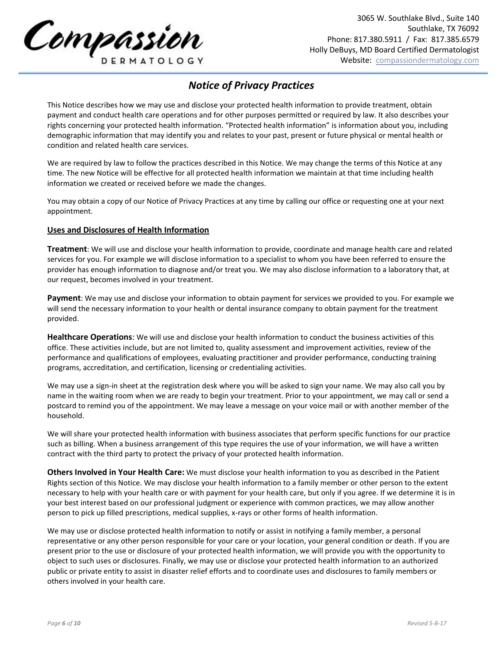

3065 W. Southlake Blvd., Suite 140 Southlake, TX 76092 Phone: 817.380.5911 / Fax: 817.385.6579 Holly DeBuys, MD Board Certified Dermatologist Website: compassiondermatology.com

## *Notice of Privacy Practices*

This Notice describes how we may use and disclose your protected health information to provide treatment, obtain payment and conduct health care operations and for other purposes permitted or required by law. It also describes your rights concerning your protected health information. "Protected health information" is information about you, including demographic information that may identify you and relates to your past, present or future physical or mental health or condition and related health care services.

We are required by law to follow the practices described in this Notice. We may change the terms of this Notice at any time. The new Notice will be effective for all protected health information we maintain at that time including health information we created or received before we made the changes.

You may obtain a copy of our Notice of Privacy Practices at any time by calling our office or requesting one at your next appointment.

## **Uses and Disclosures of Health Information**

**Treatment**: We will use and disclose your health information to provide, coordinate and manage health care and related services for you. For example we will disclose information to a specialist to whom you have been referred to ensure the provider has enough information to diagnose and/or treat you. We may also disclose information to a laboratory that, at our request, becomes involved in your treatment.

**Payment**: We may use and disclose your information to obtain payment for services we provided to you. For example we will send the necessary information to your health or dental insurance company to obtain payment for the treatment provided.

**Healthcare Operations**: We will use and disclose your health information to conduct the business activities of this office. These activities include, but are not limited to, quality assessment and improvement activities, review of the performance and qualifications of employees, evaluating practitioner and provider performance, conducting training programs, accreditation, and certification, licensing or credentialing activities.

We may use a sign-in sheet at the registration desk where you will be asked to sign your name. We may also call you by name in the waiting room when we are ready to begin your treatment. Prior to your appointment, we may call or send a postcard to remind you of the appointment. We may leave a message on your voice mail or with another member of the household.

We will share your protected health information with business associates that perform specific functions for our practice such as billing. When a business arrangement of this type requires the use of your information, we will have a written contract with the third party to protect the privacy of your protected health information.

**Others Involved in Your Health Care:** We must disclose your health information to you as described in the Patient Rights section of this Notice. We may disclose your health information to a family member or other person to the extent necessary to help with your health care or with payment for your health care, but only if you agree. If we determine it is in your best interest based on our professional judgment or experience with common practices, we may allow another person to pick up filled prescriptions, medical supplies, x-rays or other forms of health information.

We may use or disclose protected health information to notify or assist in notifying a family member, a personal representative or any other person responsible for your care or your location, your general condition or death. If you are present prior to the use or disclosure of your protected health information, we will provide you with the opportunity to object to such uses or disclosures. Finally, we may use or disclose your protected health information to an authorized public or private entity to assist in disaster relief efforts and to coordinate uses and disclosures to family members or others involved in your health care.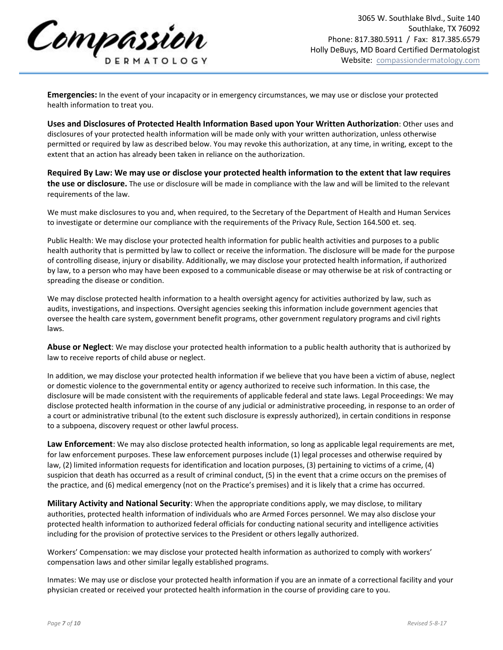

**Emergencies:** In the event of your incapacity or in emergency circumstances, we may use or disclose your protected health information to treat you.

**Uses and Disclosures of Protected Health Information Based upon Your Written Authorization**: Other uses and disclosures of your protected health information will be made only with your written authorization, unless otherwise permitted or required by law as described below. You may revoke this authorization, at any time, in writing, except to the extent that an action has already been taken in reliance on the authorization.

**Required By Law: We may use or disclose your protected health information to the extent that law requires the use or disclosure.** The use or disclosure will be made in compliance with the law and will be limited to the relevant requirements of the law.

We must make disclosures to you and, when required, to the Secretary of the Department of Health and Human Services to investigate or determine our compliance with the requirements of the Privacy Rule, Section 164.500 et. seq.

Public Health: We may disclose your protected health information for public health activities and purposes to a public health authority that is permitted by law to collect or receive the information. The disclosure will be made for the purpose of controlling disease, injury or disability. Additionally, we may disclose your protected health information, if authorized by law, to a person who may have been exposed to a communicable disease or may otherwise be at risk of contracting or spreading the disease or condition.

We may disclose protected health information to a health oversight agency for activities authorized by law, such as audits, investigations, and inspections. Oversight agencies seeking this information include government agencies that oversee the health care system, government benefit programs, other government regulatory programs and civil rights laws.

**Abuse or Neglect**: We may disclose your protected health information to a public health authority that is authorized by law to receive reports of child abuse or neglect.

In addition, we may disclose your protected health information if we believe that you have been a victim of abuse, neglect or domestic violence to the governmental entity or agency authorized to receive such information. In this case, the disclosure will be made consistent with the requirements of applicable federal and state laws. Legal Proceedings: We may disclose protected health information in the course of any judicial or administrative proceeding, in response to an order of a court or administrative tribunal (to the extent such disclosure is expressly authorized), in certain conditions in response to a subpoena, discovery request or other lawful process.

**Law Enforcement**: We may also disclose protected health information, so long as applicable legal requirements are met, for law enforcement purposes. These law enforcement purposes include (1) legal processes and otherwise required by law, (2) limited information requests for identification and location purposes, (3) pertaining to victims of a crime, (4) suspicion that death has occurred as a result of criminal conduct, (5) in the event that a crime occurs on the premises of the practice, and (6) medical emergency (not on the Practice's premises) and it is likely that a crime has occurred.

**Military Activity and National Security**: When the appropriate conditions apply, we may disclose, to military authorities, protected health information of individuals who are Armed Forces personnel. We may also disclose your protected health information to authorized federal officials for conducting national security and intelligence activities including for the provision of protective services to the President or others legally authorized.

Workers' Compensation: we may disclose your protected health information as authorized to comply with workers' compensation laws and other similar legally established programs.

Inmates: We may use or disclose your protected health information if you are an inmate of a correctional facility and your physician created or received your protected health information in the course of providing care to you.